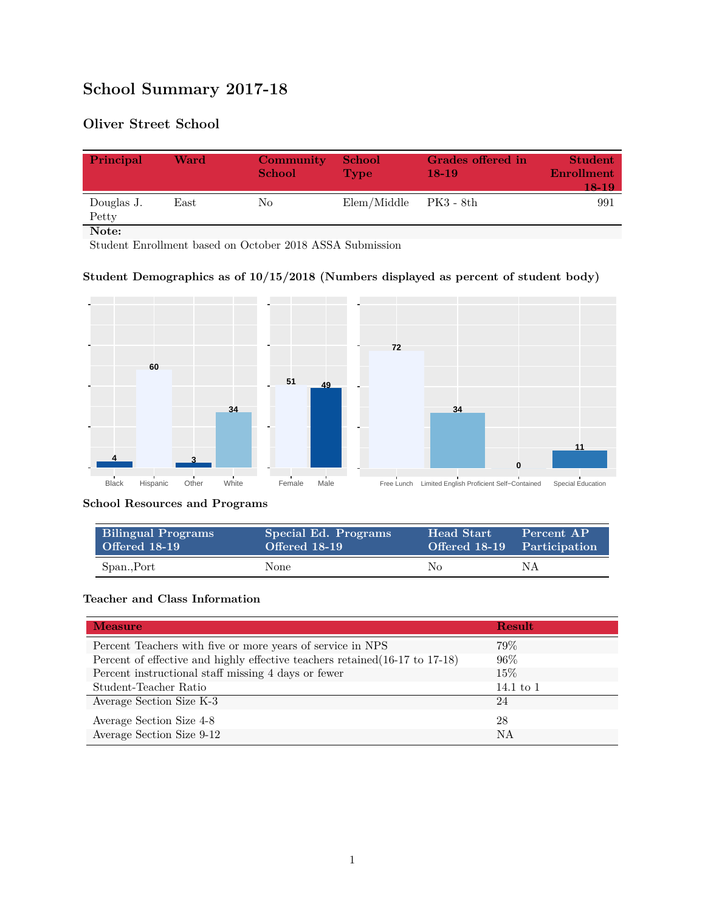# **School Summary 2017-18**

## **Oliver Street School**

| Principal           | Ward | <b>Community</b><br><b>School</b> | <b>School</b><br><b>Type</b> | Grades offered in<br>$18-19$ | <b>Student</b><br>Enrollment<br>18-19 |
|---------------------|------|-----------------------------------|------------------------------|------------------------------|---------------------------------------|
| Douglas J.<br>Petty | East | No                                | Elem/Middle                  | PK3 - 8th                    | 991                                   |
| Note:               |      |                                   |                              |                              |                                       |

Student Enrollment based on October 2018 ASSA Submission

### **Student Demographics as of 10/15/2018 (Numbers displayed as percent of student body)**



#### **School Resources and Programs**

| <b>Bilingual Programs</b><br>Offered 18-19 | Special Ed. Programs<br>Offered 18-19 | <b>Head Start</b><br>Offered 18-19 Participation | Percent AP |
|--------------------------------------------|---------------------------------------|--------------------------------------------------|------------|
| Span., Port                                | None                                  | No.                                              | NΑ         |

#### **Teacher and Class Information**

| <b>Measure</b>                                                               | <b>Result</b> |
|------------------------------------------------------------------------------|---------------|
| Percent Teachers with five or more years of service in NPS                   | 79%           |
| Percent of effective and highly effective teachers retained (16-17 to 17-18) | 96%           |
| Percent instructional staff missing 4 days or fewer                          | 15\%          |
| Student-Teacher Ratio                                                        | 14.1 to $1$   |
| Average Section Size K-3                                                     | 24            |
| Average Section Size 4-8                                                     | 28            |
| Average Section Size 9-12                                                    | NA            |